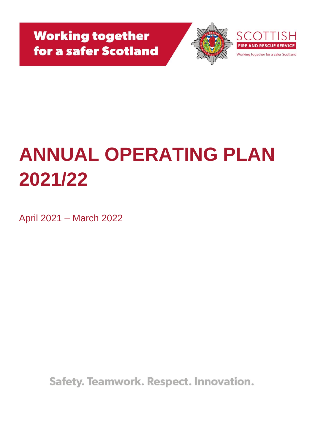

# **ANNUAL OPERATING PLAN 2021/22**

April 2021 – March 2022

Safety. Teamwork. Respect. Innovation.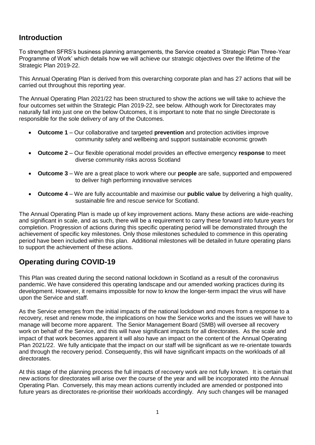#### **Introduction**

To strengthen SFRS's business planning arrangements, the Service created a 'Strategic Plan Three-Year Programme of Work' which details how we will achieve our strategic objectives over the lifetime of the Strategic Plan 2019-22.

This Annual Operating Plan is derived from this overarching corporate plan and has 27 actions that will be carried out throughout this reporting year.

The Annual Operating Plan 2021/22 has been structured to show the actions we will take to achieve the four outcomes set within the Strategic Plan 2019-22, see below. Although work for Directorates may naturally fall into just one on the below Outcomes, it is important to note that no single Directorate is responsible for the sole delivery of any of the Outcomes.

- **Outcome 1** Our collaborative and targeted **prevention** and protection activities improve community safety and wellbeing and support sustainable economic growth
- **Outcome 2**  Our flexible operational model provides an effective emergency **response** to meet diverse community risks across Scotland
- **Outcome 3** We are a great place to work where our **people** are safe, supported and empowered to deliver high performing innovative services
- **Outcome 4**  We are fully accountable and maximise our **public value** by delivering a high quality, sustainable fire and rescue service for Scotland.

The Annual Operating Plan is made up of key improvement actions. Many these actions are wide-reaching and significant in scale, and as such, there will be a requirement to carry these forward into future years for completion. Progression of actions during this specific operating period will be demonstrated through the achievement of specific key milestones. Only those milestones scheduled to commence in this operating period have been included within this plan. Additional milestones will be detailed in future operating plans to support the achievement of these actions.

### **Operating during COVID-19**

This Plan was created during the second national lockdown in Scotland as a result of the coronavirus pandemic. We have considered this operating landscape and our amended working practices during its development. However, it remains impossible for now to know the longer-term impact the virus will have upon the Service and staff.

As the Service emerges from the initial impacts of the national lockdown and moves from a response to a recovery, reset and renew mode, the implications on how the Service works and the issues we will have to manage will become more apparent. The Senior Management Board (SMB) will oversee all recovery work on behalf of the Service, and this will have significant impacts for all directorates. As the scale and impact of that work becomes apparent it will also have an impact on the content of the Annual Operating Plan 2021/22. We fully anticipate that the impact on our staff will be significant as we re-orientate towards and through the recovery period. Consequently, this will have significant impacts on the workloads of all directorates.

At this stage of the planning process the full impacts of recovery work are not fully known. It is certain that new actions for directorates will arise over the course of the year and will be incorporated into the Annual Operating Plan. Conversely, this may mean actions currently included are amended or postponed into future years as directorates re-prioritise their workloads accordingly. Any such changes will be managed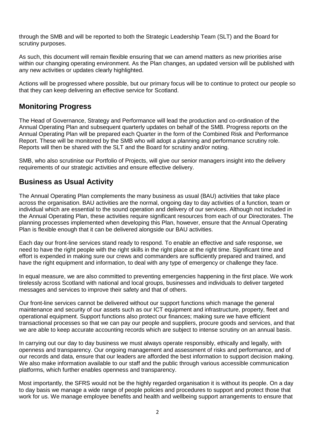through the SMB and will be reported to both the Strategic Leadership Team (SLT) and the Board for scrutiny purposes.

As such, this document will remain flexible ensuring that we can amend matters as new priorities arise within our changing operating environment. As the Plan changes, an updated version will be published with any new activities or updates clearly highlighted.

Actions will be progressed where possible, but our primary focus will be to continue to protect our people so that they can keep delivering an effective service for Scotland.

#### **Monitoring Progress**

The Head of Governance, Strategy and Performance will lead the production and co-ordination of the Annual Operating Plan and subsequent quarterly updates on behalf of the SMB. Progress reports on the Annual Operating Plan will be prepared each Quarter in the form of the Combined Risk and Performance Report. These will be monitored by the SMB who will adopt a planning and performance scrutiny role. Reports will then be shared with the SLT and the Board for scrutiny and/or noting.

SMB, who also scrutinise our Portfolio of Projects, will give our senior managers insight into the delivery requirements of our strategic activities and ensure effective delivery.

#### **Business as Usual Activity**

The Annual Operating Plan complements the many business as usual (BAU) activities that take place across the organisation. BAU activities are the normal, ongoing day to day activities of a function, team or individual which are essential to the sound operation and delivery of our services. Although not included in the Annual Operating Plan, these activities require significant resources from each of our Directorates. The planning processes implemented when developing this Plan, however, ensure that the Annual Operating Plan is flexible enough that it can be delivered alongside our BAU activities.

Each day our front-line services stand ready to respond. To enable an effective and safe response, we need to have the right people with the right skills in the right place at the right time. Significant time and effort is expended in making sure our crews and commanders are sufficiently prepared and trained, and have the right equipment and information, to deal with any type of emergency or challenge they face.

In equal measure, we are also committed to preventing emergencies happening in the first place. We work tirelessly across Scotland with national and local groups, businesses and individuals to deliver targeted messages and services to improve their safety and that of others.

Our front-line services cannot be delivered without our support functions which manage the general maintenance and security of our assets such as our ICT equipment and infrastructure, property, fleet and operational equipment. Support functions also protect our finances; making sure we have efficient transactional processes so that we can pay our people and suppliers, procure goods and services, and that we are able to keep accurate accounting records which are subject to intense scrutiny on an annual basis.

In carrying out our day to day business we must always operate responsibly, ethically and legally, with openness and transparency. Our ongoing management and assessment of risks and performance, and of our records and data, ensure that our leaders are afforded the best information to support decision making. We also make information available to our staff and the public through various accessible communication platforms, which further enables openness and transparency.

Most importantly, the SFRS would not be the highly regarded organisation it is without its people. On a day to day basis we manage a wide range of people policies and procedures to support and protect those that work for us. We manage employee benefits and health and wellbeing support arrangements to ensure that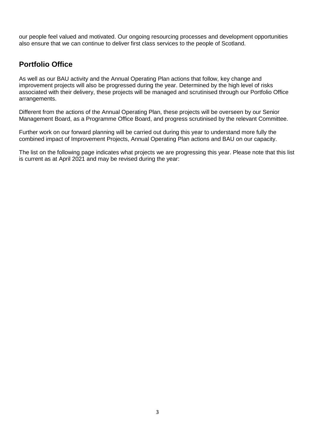our people feel valued and motivated. Our ongoing resourcing processes and development opportunities also ensure that we can continue to deliver first class services to the people of Scotland.

#### **Portfolio Office**

As well as our BAU activity and the Annual Operating Plan actions that follow, key change and improvement projects will also be progressed during the year. Determined by the high level of risks associated with their delivery, these projects will be managed and scrutinised through our Portfolio Office arrangements.

Different from the actions of the Annual Operating Plan, these projects will be overseen by our Senior Management Board, as a Programme Office Board, and progress scrutinised by the relevant Committee.

Further work on our forward planning will be carried out during this year to understand more fully the combined impact of Improvement Projects, Annual Operating Plan actions and BAU on our capacity.

The list on the following page indicates what projects we are progressing this year. Please note that this list is current as at April 2021 and may be revised during the year: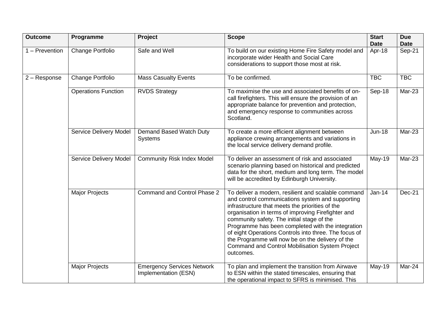| <b>Outcome</b> | Programme                     | Project                                                   | <b>Scope</b>                                                                                                                                                                                                                                                                                                                                                                                                                                                                                            | <b>Start</b><br><b>Date</b> | <b>Due</b><br><b>Date</b> |
|----------------|-------------------------------|-----------------------------------------------------------|---------------------------------------------------------------------------------------------------------------------------------------------------------------------------------------------------------------------------------------------------------------------------------------------------------------------------------------------------------------------------------------------------------------------------------------------------------------------------------------------------------|-----------------------------|---------------------------|
| 1 - Prevention | Change Portfolio              | Safe and Well                                             | To build on our existing Home Fire Safety model and<br>incorporate wider Health and Social Care<br>considerations to support those most at risk.                                                                                                                                                                                                                                                                                                                                                        | Apr-18                      | Sep-21                    |
| 2 - Response   | Change Portfolio              | <b>Mass Casualty Events</b>                               | To be confirmed.                                                                                                                                                                                                                                                                                                                                                                                                                                                                                        | <b>TBC</b>                  | <b>TBC</b>                |
|                | <b>Operations Function</b>    | <b>RVDS Strategy</b>                                      | To maximise the use and associated benefits of on-<br>call firefighters. This will ensure the provision of an<br>appropriate balance for prevention and protection,<br>and emergency response to communities across<br>Scotland.                                                                                                                                                                                                                                                                        | Sep-18                      | Mar-23                    |
|                | Service Delivery Model        | Demand Based Watch Duty<br><b>Systems</b>                 | To create a more efficient alignment between<br>appliance crewing arrangements and variations in<br>the local service delivery demand profile.                                                                                                                                                                                                                                                                                                                                                          | <b>Jun-18</b>               | Mar-23                    |
|                | <b>Service Delivery Model</b> | <b>Community Risk Index Model</b>                         | To deliver an assessment of risk and associated<br>scenario planning based on historical and predicted<br>data for the short, medium and long term. The model<br>will be accredited by Edinburgh University.                                                                                                                                                                                                                                                                                            | May-19                      | $Mar-23$                  |
|                | <b>Major Projects</b>         | Command and Control Phase 2                               | To deliver a modern, resilient and scalable command<br>and control communications system and supporting<br>infrastructure that meets the priorities of the<br>organisation in terms of improving Firefighter and<br>community safety. The initial stage of the<br>Programme has been completed with the integration<br>of eight Operations Controls into three. The focus of<br>the Programme will now be on the delivery of the<br><b>Command and Control Mobilisation System Project</b><br>outcomes. | $Jan-14$                    | <b>Dec-21</b>             |
|                | <b>Major Projects</b>         | <b>Emergency Services Network</b><br>Implementation (ESN) | To plan and implement the transition from Airwave<br>to ESN within the stated timescales, ensuring that<br>the operational impact to SFRS is minimised. This                                                                                                                                                                                                                                                                                                                                            | May-19                      | Mar-24                    |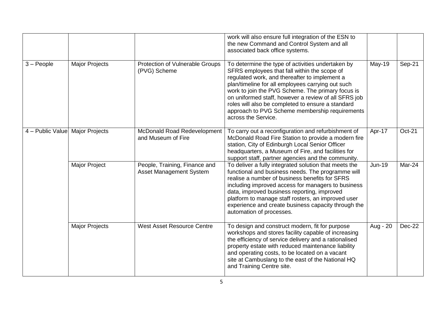|                  |                       |                                                                 | work will also ensure full integration of the ESN to<br>the new Command and Control System and all<br>associated back office systems.                                                                                                                                                                                                                                                                                                              |               |        |
|------------------|-----------------------|-----------------------------------------------------------------|----------------------------------------------------------------------------------------------------------------------------------------------------------------------------------------------------------------------------------------------------------------------------------------------------------------------------------------------------------------------------------------------------------------------------------------------------|---------------|--------|
| $3 - People$     | <b>Major Projects</b> | Protection of Vulnerable Groups<br>(PVG) Scheme                 | To determine the type of activities undertaken by<br>SFRS employees that fall within the scope of<br>regulated work, and thereafter to implement a<br>plan/timeline for all employees carrying out such<br>work to join the PVG Scheme. The primary focus is<br>on uniformed staff, however a review of all SFRS job<br>roles will also be completed to ensure a standard<br>approach to PVG Scheme membership requirements<br>across the Service. | $May-19$      | Sep-21 |
| 4 - Public Value | <b>Major Projects</b> | McDonald Road Redevelopment<br>and Museum of Fire               | To carry out a reconfiguration and refurbishment of<br>McDonald Road Fire Station to provide a modern fire<br>station, City of Edinburgh Local Senior Officer<br>headquarters, a Museum of Fire, and facilities for<br>support staff, partner agencies and the community.                                                                                                                                                                          | Apr-17        | Oct-21 |
|                  | <b>Major Project</b>  | People, Training, Finance and<br><b>Asset Management System</b> | To deliver a fully integrated solution that meets the<br>functional and business needs. The programme will<br>realise a number of business benefits for SFRS<br>including improved access for managers to business<br>data, improved business reporting, improved<br>platform to manage staff rosters, an improved user<br>experience and create business capacity through the<br>automation of processes.                                         | <b>Jun-19</b> | Mar-24 |
|                  | <b>Major Projects</b> | <b>West Asset Resource Centre</b>                               | To design and construct modern, fit for purpose<br>workshops and stores facility capable of increasing<br>the efficiency of service delivery and a rationalised<br>property estate with reduced maintenance liability<br>and operating costs, to be located on a vacant<br>site at Cambuslang to the east of the National HQ<br>and Training Centre site.                                                                                          | Aug - 20      | Dec-22 |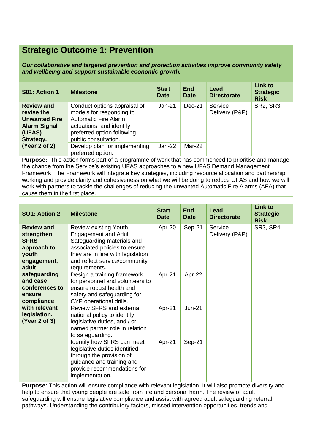## **Strategic Outcome 1: Prevention**

*Our collaborative and targeted prevention and protection activities improve community safety and wellbeing and support sustainable economic growth.*

| S01: Action 1                                                                                         | <b>Milestone</b>                                                                                                                                                          | <b>Start</b><br><b>Date</b> | <b>End</b><br><b>Date</b> | Lead<br><b>Directorate</b> | <b>Link to</b><br><b>Strategic</b><br><b>Risk</b> |
|-------------------------------------------------------------------------------------------------------|---------------------------------------------------------------------------------------------------------------------------------------------------------------------------|-----------------------------|---------------------------|----------------------------|---------------------------------------------------|
| <b>Review and</b><br>revise the<br><b>Unwanted Fire</b><br><b>Alarm Signal</b><br>(UFAS)<br>Strategy. | Conduct options appraisal of<br>models for responding to<br><b>Automatic Fire Alarm</b><br>actuations, and identify<br>preferred option following<br>public consultation. | Jan-21                      | Dec-21                    | Service<br>Delivery (P&P)  | <b>SR2, SR3</b>                                   |
| (Year 2 of 2)                                                                                         | Develop plan for implementing<br>preferred option.                                                                                                                        | $Jan-22$                    | Mar-22                    |                            |                                                   |

**Purpose:** This action forms part of a programme of work that has commenced to prioritise and manage the change from the Service's existing UFAS approaches to a new UFAS Demand Management Framework. The Framework will integrate key strategies, including resource allocation and partnership working and provide clarity and cohesiveness on what we will be doing to reduce UFAS and how we will work with partners to tackle the challenges of reducing the unwanted Automatic Fire Alarms (AFA) that cause them in the first place.

| SO1: Action 2                                                                                  | <b>Milestone</b>                                                                                                                                                                                                  | <b>Start</b><br><b>Date</b> | <b>End</b><br><b>Date</b>                  | <b>Lead</b><br><b>Directorate</b> | <b>Link to</b><br><b>Strategic</b><br><b>Risk</b> |
|------------------------------------------------------------------------------------------------|-------------------------------------------------------------------------------------------------------------------------------------------------------------------------------------------------------------------|-----------------------------|--------------------------------------------|-----------------------------------|---------------------------------------------------|
| <b>Review and</b><br>strengthen<br><b>SFRS</b><br>approach to<br>youth<br>engagement,<br>adult | <b>Review existing Youth</b><br><b>Engagement and Adult</b><br>Safeguarding materials and<br>associated policies to ensure<br>they are in line with legislation<br>and reflect service/community<br>requirements. | Apr-20                      | Sep-21                                     | Service<br>Delivery (P&P)         | SR3, SR4                                          |
| safeguarding<br>and case<br>conferences to<br>ensure<br>compliance                             | Design a training framework<br>for personnel and volunteers to<br>ensure robust health and<br>safety and safeguarding for<br>CYP operational drills.                                                              | Apr-21                      | Apr-22                                     |                                   |                                                   |
| with relevant<br>legislation.<br>(Year 2 of 3)                                                 | <b>Review SFRS and external</b><br>national policy to identify<br>legislative duties, and / or<br>named partner role in relation<br>to safeguarding.                                                              | Apr-21                      | <b>Jun-21</b>                              |                                   |                                                   |
|                                                                                                | Identify how SFRS can meet<br>legislative duties identified<br>through the provision of<br>guidance and training and<br>provide recommendations for<br>implementation.                                            | Apr-21                      | Sep-21                                     |                                   |                                                   |
| エレジュー                                                                                          | ورابط الألف<br>والمساريع والمنافذة<br>the participants of the control                                                                                                                                             |                             | والمالم اللاردي المستعار والمناجل والمناور |                                   | the control of the control of                     |

**Purpose:** This action will ensure compliance with relevant legislation. It will also promote diversity and help to ensure that young people are safe from fire and personal harm. The review of adult safeguarding will ensure legislative compliance and assist with agreed adult safeguarding referral pathways. Understanding the contributory factors, missed intervention opportunities, trends and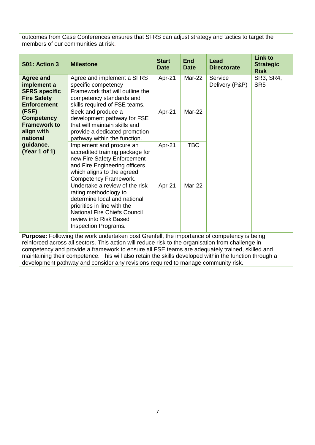outcomes from Case Conferences ensures that SFRS can adjust strategy and tactics to target the members of our communities at risk.

| S01: Action 3                                                                                       | <b>Milestone</b>                                                                                                                                                                                                | <b>Start</b><br><b>Date</b> | <b>End</b><br><b>Date</b> | Lead<br><b>Directorate</b> | <b>Link to</b><br><b>Strategic</b><br><b>Risk</b> |
|-----------------------------------------------------------------------------------------------------|-----------------------------------------------------------------------------------------------------------------------------------------------------------------------------------------------------------------|-----------------------------|---------------------------|----------------------------|---------------------------------------------------|
| <b>Agree and</b><br>implement a<br><b>SFRS specific</b><br><b>Fire Safety</b><br><b>Enforcement</b> | Agree and implement a SFRS<br>specific competency<br>Framework that will outline the<br>competency standards and<br>skills required of FSE teams.                                                               | Apr-21                      | Mar-22                    | Service<br>Delivery (P&P)  | SR3, SR4,<br>SR <sub>5</sub>                      |
| (FSE)<br><b>Competency</b><br><b>Framework to</b><br>align with<br>national                         | Seek and produce a<br>development pathway for FSE<br>that will maintain skills and<br>provide a dedicated promotion<br>pathway within the function.                                                             | Apr-21                      | Mar-22                    |                            |                                                   |
| guidance.<br>(Year 1 of 1)                                                                          | <b>TBC</b><br>Apr-21<br>Implement and procure an<br>accredited training package for<br>new Fire Safety Enforcement<br>and Fire Engineering officers<br>which aligns to the agreed<br>Competency Framework.      |                             |                           |                            |                                                   |
|                                                                                                     | Undertake a review of the risk<br>rating methodology to<br>determine local and national<br>priorities in line with the<br><b>National Fire Chiefs Council</b><br>review into Risk Based<br>Inspection Programs. | Apr-21                      | Mar-22                    |                            |                                                   |
|                                                                                                     | <b>Purpose:</b> Following the work undertaken post Grenfell, the importance of competency is being                                                                                                              |                             |                           |                            |                                                   |

reinforced across all sectors. This action will reduce risk to the organisation from challenge in competency and provide a framework to ensure all FSE teams are adequately trained, skilled and maintaining their competence. This will also retain the skills developed within the function through a development pathway and consider any revisions required to manage community risk.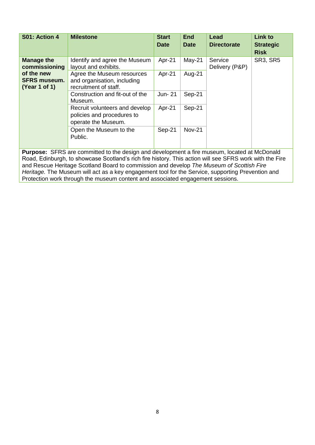| S01: Action 4                                      | <b>Milestone</b>                                                                    | <b>Start</b><br><b>Date</b> | <b>End</b><br><b>Date</b> | Lead<br><b>Directorate</b> | <b>Link to</b><br><b>Strategic</b><br><b>Risk</b> |
|----------------------------------------------------|-------------------------------------------------------------------------------------|-----------------------------|---------------------------|----------------------------|---------------------------------------------------|
| <b>Manage the</b><br>commissioning                 | Identify and agree the Museum<br>layout and exhibits.                               | Apr-21                      | $May-21$                  | Service<br>Delivery (P&P)  | <b>SR3, SR5</b>                                   |
| of the new<br><b>SFRS museum.</b><br>(Year 1 of 1) | Agree the Museum resources<br>and organisation, including<br>recruitment of staff.  | Apr-21                      | Aug-21                    |                            |                                                   |
|                                                    | Construction and fit-out of the<br>Museum.                                          | Jun- 21                     | Sep-21                    |                            |                                                   |
|                                                    | Recruit volunteers and develop<br>policies and procedures to<br>operate the Museum. | Apr-21                      | Sep-21                    |                            |                                                   |
|                                                    | Open the Museum to the<br>Public.                                                   | Sep-21                      | <b>Nov-21</b>             |                            |                                                   |

**Purpose:** SFRS are committed to the design and development a fire museum, located at McDonald Road, Edinburgh, to showcase Scotland's rich fire history. This action will see SFRS work with the Fire and Rescue Heritage Scotland Board to commission and develop *The Museum of Scottish Fire Heritage.* The Museum will act as a key engagement tool for the Service, supporting Prevention and Protection work through the museum content and associated engagement sessions.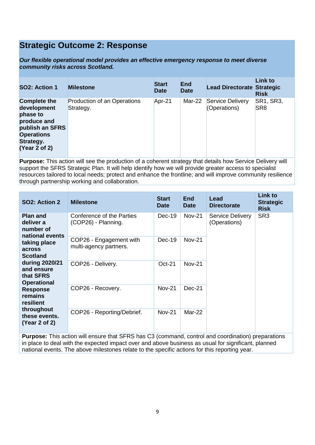## **Strategic Outcome 2: Response**

*Our flexible operational model provides an effective emergency response to meet diverse community risks across Scotland.*

| SO2: Action 1                                                                                                                       | <b>Milestone</b>                         | <b>Start</b><br><b>Date</b> | <b>End</b><br><b>Date</b> | <b>Lead Directorate Strategic</b> | <b>Link to</b><br><b>Risk</b> |
|-------------------------------------------------------------------------------------------------------------------------------------|------------------------------------------|-----------------------------|---------------------------|-----------------------------------|-------------------------------|
| <b>Complete the</b><br>development<br>phase to<br>produce and<br>publish an SFRS<br><b>Operations</b><br>Strategy.<br>(Year 2 of 2) | Production of an Operations<br>Strategy. | Apr-21                      | Mar-22                    | Service Delivery<br>(Operations)  | SR1, SR3,<br>SR <sub>8</sub>  |

**Purpose:** This action will see the production of a coherent strategy that details how Service Delivery will support the SFRS Strategic Plan. It will help identify how we will provide greater access to specialist resources tailored to local needs; protect and enhance the frontline; and will improve community resilience through partnership working and collaboration.

| SO2: Action 2                                                                                             | <b>Milestone</b>                                  | <b>Start</b><br><b>Date</b> | <b>End</b><br><b>Date</b> | Lead<br><b>Directorate</b>              | Link to<br><b>Strategic</b><br><b>Risk</b> |
|-----------------------------------------------------------------------------------------------------------|---------------------------------------------------|-----------------------------|---------------------------|-----------------------------------------|--------------------------------------------|
| <b>Plan and</b><br>deliver a<br>number of<br>national events<br>taking place<br>across<br><b>Scotland</b> | Conference of the Parties<br>(COP26) - Planning.  | $Dec-19$                    | <b>Nov-21</b>             | <b>Service Delivery</b><br>(Operations) | SR <sub>3</sub>                            |
|                                                                                                           | COP26 - Engagement with<br>multi-agency partners. | $Dec-19$                    | <b>Nov-21</b>             |                                         |                                            |
| during 2020/21<br>and ensure<br>that SFRS<br><b>Operational</b>                                           | COP26 - Delivery.                                 | $Oct-21$                    | <b>Nov-21</b>             |                                         |                                            |
| <b>Response</b><br>remains<br>resilient                                                                   | COP26 - Recovery.                                 | <b>Nov-21</b>               | $Dec-21$                  |                                         |                                            |
| throughout<br>these events.<br>(Year 2 of 2)                                                              | COP26 - Reporting/Debrief.                        | <b>Nov-21</b>               | Mar-22                    |                                         |                                            |

**Purpose:** This action will ensure that SFRS has C3 (command, control and coordination) preparations in place to deal with the expected impact over and above business as usual for significant, planned national events. The above milestones relate to the specific actions for this reporting year.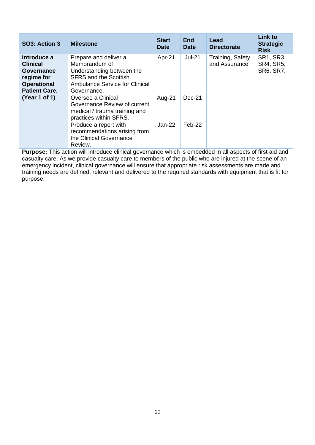| SO3: Action 3                                                                                                             | <b>Milestone</b>                                                                                                                                            | <b>Start</b><br><b>Date</b> | <b>End</b><br><b>Date</b> | Lead<br><b>Directorate</b>        | <b>Link to</b><br><b>Strategic</b><br><b>Risk</b> |
|---------------------------------------------------------------------------------------------------------------------------|-------------------------------------------------------------------------------------------------------------------------------------------------------------|-----------------------------|---------------------------|-----------------------------------|---------------------------------------------------|
| Introduce a<br><b>Clinical</b><br>Governance<br>regime for<br><b>Operational</b><br><b>Patient Care.</b><br>(Year 1 of 1) | Prepare and deliver a<br>Memorandum of<br>Understanding between the<br><b>SFRS and the Scottish</b><br><b>Ambulance Service for Clinical</b><br>Governance. | Apr-21                      | $Jul-21$                  | Training, Safety<br>and Assurance | <b>SR1, SR3,</b><br><b>SR4, SR5,</b><br>SR6, SR7. |
|                                                                                                                           | Oversee a Clinical<br>Governance Review of current<br>medical / trauma training and<br>practices within SFRS.                                               | Aug-21                      | $Dec-21$                  |                                   |                                                   |
|                                                                                                                           | Produce a report with<br>recommendations arising from<br>the Clinical Governance<br>Review.                                                                 | $Jan-22$                    | Feb-22                    |                                   |                                                   |

**Purpose:** This action will introduce clinical governance which is embedded in all aspects of first aid and casualty care. As we provide casualty care to members of the public who are injured at the scene of an emergency incident, clinical governance will ensure that appropriate risk assessments are made and training needs are defined, relevant and delivered to the required standards with equipment that is fit for purpose.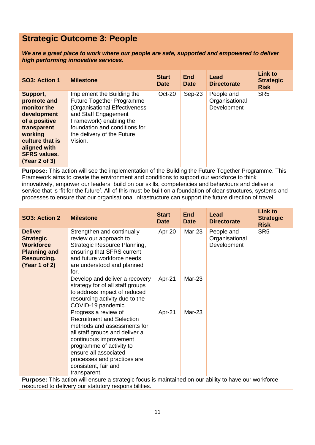# **Strategic Outcome 3: People**

*We are a great place to work where our people are safe, supported and empowered to deliver high performing innovative services.*

| SO3: Action 1                                                                                                                                                               | <b>Milestone</b>                                                                                                                                                                                                             | <b>Start</b><br><b>Date</b> | <b>End</b><br><b>Date</b> | Lead<br><b>Directorate</b>                  | <b>Link to</b><br><b>Strategic</b><br><b>Risk</b> |
|-----------------------------------------------------------------------------------------------------------------------------------------------------------------------------|------------------------------------------------------------------------------------------------------------------------------------------------------------------------------------------------------------------------------|-----------------------------|---------------------------|---------------------------------------------|---------------------------------------------------|
| Support,<br>promote and<br>monitor the<br>development<br>of a positive<br>transparent<br>working<br>culture that is<br>aligned with<br><b>SFRS values.</b><br>(Year 2 of 3) | Implement the Building the<br><b>Future Together Programme</b><br>(Organisational Effectiveness<br>and Staff Engagement<br>Framework) enabling the<br>foundation and conditions for<br>the delivery of the Future<br>Vision. | Oct-20                      | $Sep-23$                  | People and<br>Organisational<br>Development | SR <sub>5</sub>                                   |

**Purpose:** This action will see the implementation of the Building the Future Together Programme. This Framework aims to create the environment and conditions to support our workforce to think innovatively, empower our leaders, build on our skills, competencies and behaviours and deliver a service that is 'fit for the future'. All of this must be built on a foundation of clear structures, systems and processes to ensure that our organisational infrastructure can support the future direction of travel.

| SO3: Action 2                                                                                                        | <b>Milestone</b>                                                                                                                                                                                                                                                                | <b>Start</b><br><b>Date</b> | <b>End</b><br><b>Date</b> | <b>Lead</b><br><b>Directorate</b>           | <b>Link to</b><br><b>Strategic</b><br><b>Risk</b> |  |                 |
|----------------------------------------------------------------------------------------------------------------------|---------------------------------------------------------------------------------------------------------------------------------------------------------------------------------------------------------------------------------------------------------------------------------|-----------------------------|---------------------------|---------------------------------------------|---------------------------------------------------|--|-----------------|
| <b>Deliver</b><br><b>Strategic</b><br><b>Workforce</b><br><b>Planning and</b><br><b>Resourcing.</b><br>(Year 1 of 2) | Strengthen and continually<br>review our approach to<br>Strategic Resource Planning,<br>ensuring that SFRS current<br>and future workforce needs<br>are understood and planned<br>for.                                                                                          | Apr-20                      | Mar-23                    | People and<br>Organisational<br>Development |                                                   |  | SR <sub>5</sub> |
|                                                                                                                      | Develop and deliver a recovery<br>strategy for of all staff groups<br>to address impact of reduced<br>resourcing activity due to the<br>COVID-19 pandemic.                                                                                                                      | Apr-21                      | $Mar-23$                  |                                             |                                                   |  |                 |
|                                                                                                                      | Progress a review of<br><b>Recruitment and Selection</b><br>methods and assessments for<br>all staff groups and deliver a<br>continuous improvement<br>programme of activity to<br>ensure all associated<br>processes and practices are<br>consistent, fair and<br>transparent. | Apr-21                      | Mar-23                    |                                             |                                                   |  |                 |
|                                                                                                                      | <b>Purpose:</b> This action will ensure a strategic focus is maintained on our ability to have our workforce                                                                                                                                                                    |                             |                           |                                             |                                                   |  |                 |

resourced to delivery our statutory responsibilities.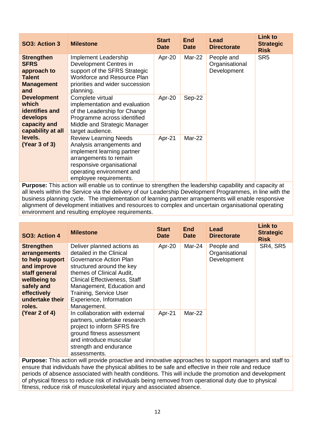| SO3: Action 3                                                                                  | <b>Milestone</b>                                                                                                                                                                                      | <b>Start</b><br><b>Date</b>                                     | <b>End</b><br><b>Date</b> | Lead<br><b>Directorate</b> | <b>Link to</b><br><b>Strategic</b><br><b>Risk</b> |
|------------------------------------------------------------------------------------------------|-------------------------------------------------------------------------------------------------------------------------------------------------------------------------------------------------------|-----------------------------------------------------------------|---------------------------|----------------------------|---------------------------------------------------|
| <b>Strengthen</b><br><b>SFRS</b><br>approach to<br><b>Talent</b><br><b>Management</b><br>and   | Implement Leadership<br>Development Centres in<br>support of the SFRS Strategic<br><b>Workforce and Resource Plan</b><br>priorities and wider succession<br>planning.                                 | Apr-20<br>Mar-22<br>People and<br>Organisational<br>Development |                           | SR <sub>5</sub>            |                                                   |
| <b>Development</b><br>which<br>identifies and<br>develops<br>capacity and<br>capability at all | Complete virtual<br>implementation and evaluation<br>of the Leadership for Change<br>Programme across identified<br>Middle and Strategic Manager<br>target audience.                                  | Apr-20                                                          | Sep-22                    |                            |                                                   |
| levels.<br>(Year 3 of 3)                                                                       | <b>Review Learning Needs</b><br>Analysis arrangements and<br>implement learning partner<br>arrangements to remain<br>responsive organisational<br>operating environment and<br>employee requirements. | Apr-21                                                          | Mar-22                    |                            |                                                   |

**Purpose:** This action will enable us to continue to strengthen the leadership capability and capacity at all levels within the Service via the delivery of our Leadership Development Programmes, in line with the business planning cycle. The implementation of learning partner arrangements will enable responsive alignment of development initiatives and resources to complex and uncertain organisational operating environment and resulting employee requirements.

| SO3: Action 4                                                                                                                                                  | <b>Milestone</b>                                                                                                                                                                                                                                                                    | <b>Start</b><br><b>Date</b> | <b>End</b><br><b>Date</b> | Lead<br><b>Directorate</b>                  | <b>Link to</b><br><b>Strategic</b><br><b>Risk</b> |
|----------------------------------------------------------------------------------------------------------------------------------------------------------------|-------------------------------------------------------------------------------------------------------------------------------------------------------------------------------------------------------------------------------------------------------------------------------------|-----------------------------|---------------------------|---------------------------------------------|---------------------------------------------------|
| <b>Strengthen</b><br>arrangements<br>to help support<br>and improve<br>staff general<br>wellbeing to<br>safely and<br>effectively<br>undertake their<br>roles. | Deliver planned actions as<br>detailed in the Clinical<br>Governance Action Plan<br>structured around the key<br>themes of Clinical Audit,<br><b>Clinical Effectiveness, Staff</b><br>Management, Education and<br>Training, Service User<br>Experience, Information<br>Management. | Apr-20                      | Mar-24                    | People and<br>Organisational<br>Development | <b>SR4, SR5</b>                                   |
| (Year 2 of 4)                                                                                                                                                  | In collaboration with external<br>partners, undertake research<br>project to inform SFRS fire<br>ground fitness assessment<br>and introduce muscular<br>strength and endurance<br>assessments.                                                                                      | Apr-21                      | $Mar-22$                  |                                             |                                                   |

**Purpose:** This action will provide proactive and innovative approaches to support managers and staff to ensure that individuals have the physical abilities to be safe and effective in their role and reduce periods of absence associated with health conditions. This will include the promotion and development of physical fitness to reduce risk of individuals being removed from operational duty due to physical fitness, reduce risk of musculoskeletal injury and associated absence.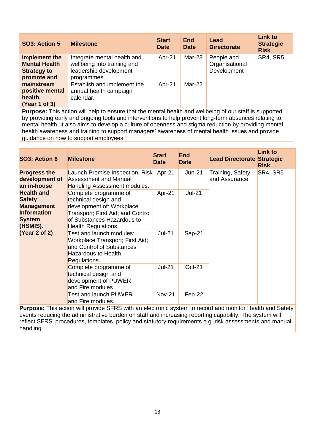| SO3: Action 5                                                              | <b>Milestone</b>                                                                                    | <b>Start</b><br><b>Date</b> | <b>End</b><br><b>Date</b> | Lead<br><b>Directorate</b>                  | <b>Link to</b><br><b>Strategic</b><br><b>Risk</b> |
|----------------------------------------------------------------------------|-----------------------------------------------------------------------------------------------------|-----------------------------|---------------------------|---------------------------------------------|---------------------------------------------------|
| Implement the<br><b>Mental Health</b><br><b>Strategy to</b><br>promote and | Integrate mental health and<br>wellbeing into training and<br>leadership development<br>programmes. | Apr-21                      | $Mar-23$                  | People and<br>Organisational<br>Development | SR4, SR5                                          |
| mainstream<br>positive mental<br>health.<br>(Year 1 of 3)                  | Establish and implement the<br>annual health campaign<br>calendar.                                  | Apr-21                      | Mar-22                    |                                             |                                                   |

**Purpose:** This action will help to ensure that the mental health and wellbeing of our staff is supported by providing early and ongoing tools and interventions to help prevent long-term absences relating to mental health. It also aims to develop a culture of openness and stigma reduction by providing mental health awareness and training to support managers' awareness of mental health issues and provide guidance on how to support employees.

| SO3: Action 6                                                                                                                                                                       | <b>Milestone</b>                                                                                                                                                     | <b>Start</b><br><b>Date</b> | <b>End</b><br><b>Date</b> | <b>Lead Directorate Strategic</b> | <b>Link to</b><br><b>Risk</b> |
|-------------------------------------------------------------------------------------------------------------------------------------------------------------------------------------|----------------------------------------------------------------------------------------------------------------------------------------------------------------------|-----------------------------|---------------------------|-----------------------------------|-------------------------------|
| <b>Progress the</b><br>development of<br>an in-house<br><b>Health and</b><br><b>Safety</b><br><b>Management</b><br><b>Information</b><br><b>System</b><br>(HSMIS).<br>(Year 2 of 2) | Launch Premise Inspection, Risk<br><b>Assessment and Manual</b><br>Handling Assessment modules.                                                                      | Apr-21                      | Jun-21                    | Training, Safety<br>and Assurance | SR4, SR5                      |
|                                                                                                                                                                                     | Complete programme of<br>technical design and<br>development of: Workplace<br>Transport; First Aid; and Control<br>of Substances Hazardous to<br>Health Regulations. | Apr-21                      | <b>Jul-21</b>             |                                   |                               |
|                                                                                                                                                                                     | Test and launch modules:<br>Workplace Transport; First Aid;<br>and Control of Substances<br>Hazardous to Health<br>Regulations.                                      | <b>Jul-21</b>               | Sep-21                    |                                   |                               |
|                                                                                                                                                                                     | Complete programme of<br>technical design and<br>development of PUWER<br>and Fire modules.                                                                           | <b>Jul-21</b>               | <b>Oct-21</b>             |                                   |                               |
|                                                                                                                                                                                     | <b>Test and launch PUWER</b><br>and Fire modules.                                                                                                                    | <b>Nov-21</b>               | Feb-22                    |                                   |                               |

**Purpose:** This action will provide SFRS with an electronic system to record and monitor Health and Safety events reducing the administrative burden on staff and increasing reporting capability. The system will reflect SFRS' procedures, templates, policy and statutory requirements e.g. risk assessments and manual handling.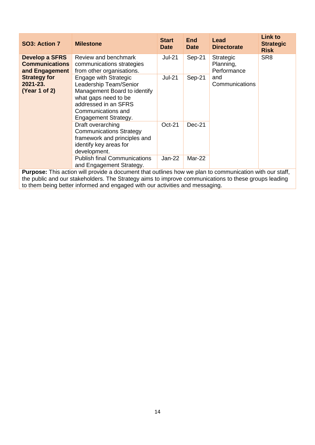| SO3: Action 7                                                    | <b>Milestone</b>                                                                                                                                                              | <b>Start</b><br><b>Date</b> | <b>End</b><br><b>Date</b> | Lead<br><b>Directorate</b> | <b>Link to</b><br><b>Strategic</b><br><b>Risk</b> |
|------------------------------------------------------------------|-------------------------------------------------------------------------------------------------------------------------------------------------------------------------------|-----------------------------|---------------------------|----------------------------|---------------------------------------------------|
| <b>Develop a SFRS</b><br><b>Communications</b><br>and Engagement | Review and benchmark<br><b>Jul-21</b><br>$Sep-21$<br><b>Strategic</b><br>Planning,<br>communications strategies<br>from other organisations.                                  | Performance                 | SR <sub>8</sub>           |                            |                                                   |
| <b>Strategy for</b><br>$2021 - 23.$<br>(Year 1 of 2)             | Engage with Strategic<br>Leadership Team/Senior<br>Management Board to identify<br>what gaps need to be<br>addressed in an SFRS<br>Communications and<br>Engagement Strategy. | <b>Jul-21</b>               | Sep-21                    | and<br>Communications      |                                                   |
|                                                                  | Draft overarching<br><b>Communications Strategy</b><br>framework and principles and<br>identify key areas for<br>development.                                                 | $Oct-21$                    | $Dec-21$                  |                            |                                                   |
|                                                                  | <b>Publish final Communications</b><br>and Engagement Strategy.                                                                                                               | Jan-22                      | Mar-22                    |                            |                                                   |

**Purpose:** This action will provide a document that outlines how we plan to communication with our staff, the public and our stakeholders. The Strategy aims to improve communications to these groups leading to them being better informed and engaged with our activities and messaging.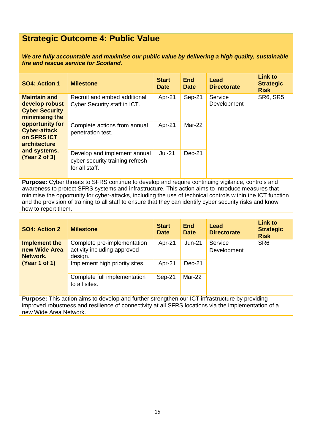# **Strategic Outcome 4: Public Value**

*We are fully accountable and maximise our public value by delivering a high quality, sustainable fire and rescue service for Scotland.*

| SO4: Action 1                                                                                                                                                                              | <b>Milestone</b>                                                                  | <b>Start</b><br><b>Date</b> | <b>End</b><br><b>Date</b> | Lead<br><b>Directorate</b> | <b>Link to</b><br><b>Strategic</b><br><b>Risk</b> |
|--------------------------------------------------------------------------------------------------------------------------------------------------------------------------------------------|-----------------------------------------------------------------------------------|-----------------------------|---------------------------|----------------------------|---------------------------------------------------|
| <b>Maintain and</b><br>develop robust<br><b>Cyber Security</b><br>minimising the<br>opportunity for<br><b>Cyber-attack</b><br>on SFRS ICT<br>architecture<br>and systems.<br>(Year 2 of 3) | Recruit and embed additional<br>Cyber Security staff in ICT.                      | Apr-21                      | Sep-21                    | Service<br>Development     | <b>SR6, SR5</b>                                   |
|                                                                                                                                                                                            | Complete actions from annual<br>penetration test.                                 | Apr-21                      | Mar-22                    |                            |                                                   |
|                                                                                                                                                                                            | Develop and implement annual<br>cyber security training refresh<br>for all staff. | <b>Jul-21</b>               | Dec-21                    |                            |                                                   |

**Purpose:** Cyber threats to SFRS continue to develop and require continuing vigilance, controls and awareness to protect SFRS systems and infrastructure. This action aims to introduce measures that minimise the opportunity for cyber-attacks, including the use of technical controls within the ICT function and the provision of training to all staff to ensure that they can identify cyber security risks and know how to report them.

| SO4: Action 2                              | <b>Milestone</b>                                                                | <b>Start</b><br><b>Date</b> | <b>End</b><br><b>Date</b> | Lead<br><b>Directorate</b> | <b>Link to</b><br><b>Strategic</b><br><b>Risk</b> |
|--------------------------------------------|---------------------------------------------------------------------------------|-----------------------------|---------------------------|----------------------------|---------------------------------------------------|
| Implement the<br>new Wide Area<br>Network. | Complete pre-implementation<br>activity including approved<br>design.           | Apr-21                      | $Jun-21$                  | Service<br>Development     | SR <sub>6</sub>                                   |
| (Year 1 of 1)                              | Implement high priority sites.<br>Complete full implementation<br>to all sites. | Apr-21<br>Sep-21            | $Dec-21$<br>Mar-22        |                            |                                                   |
|                                            |                                                                                 |                             |                           |                            |                                                   |

**Purpose:** This action aims to develop and further strengthen our ICT infrastructure by providing improved robustness and resilience of connectivity at all SFRS locations via the implementation of a new Wide Area Network.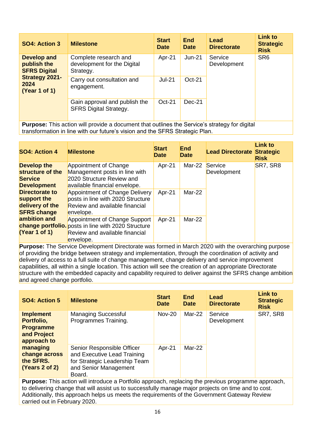| SO4: Action 3                                                                                       | <b>Milestone</b>                                                                                     | <b>Start</b><br><b>Date</b> | <b>End</b><br><b>Date</b> | Lead<br><b>Directorate</b> | <b>Link to</b><br><b>Strategic</b><br><b>Risk</b> |
|-----------------------------------------------------------------------------------------------------|------------------------------------------------------------------------------------------------------|-----------------------------|---------------------------|----------------------------|---------------------------------------------------|
| <b>Develop and</b><br>publish the<br><b>SFRS Digital</b><br>Strategy 2021-<br>2024<br>(Year 1 of 1) | Complete research and<br>development for the Digital<br>Strategy.                                    | Apr-21                      | $Jun-21$                  | Service<br>Development     | SR <sub>6</sub>                                   |
|                                                                                                     | Carry out consultation and<br>engagement.                                                            | $Jul-21$                    | $Oct-21$                  |                            |                                                   |
|                                                                                                     | Gain approval and publish the<br><b>SFRS Digital Strategy.</b>                                       | $Oct-21$                    | $Dec-21$                  |                            |                                                   |
|                                                                                                     | <b>Purpose:</b> This action will provide a document that outlines the Service's strategy for digital |                             |                           |                            |                                                   |

transformation in line with our future's vision and the SFRS Strategic Plan.

| SO4: Action 4                      | <b>Milestone</b>                                           | <b>Start</b><br><b>Date</b> | <b>End</b><br>Date | <b>Lead Directorate Strategic</b> | <b>Link to</b><br><b>Risk</b> |
|------------------------------------|------------------------------------------------------------|-----------------------------|--------------------|-----------------------------------|-------------------------------|
| <b>Develop the</b>                 | Appointment of Change                                      | Apr-21                      | Mar-22             | Service                           | SR7, SR8                      |
| structure of the<br><b>Service</b> | Management posts in line with<br>2020 Structure Review and |                             |                    | Development                       |                               |
| <b>Development</b>                 | available financial envelope.                              |                             |                    |                                   |                               |
| <b>Directorate to</b>              | Appointment of Change Delivery                             | Apr-21                      | Mar-22             |                                   |                               |
| support the                        | posts in line with 2020 Structure                          |                             |                    |                                   |                               |
| delivery of the                    | Review and available financial                             |                             |                    |                                   |                               |
| <b>SFRS change</b>                 | envelope.                                                  |                             |                    |                                   |                               |
| ambition and                       | Appointment of Change Support                              | Apr-21                      | Mar-22             |                                   |                               |
|                                    | <b>change portfolio.</b> posts in line with 2020 Structure |                             |                    |                                   |                               |
| (Year 1 of 1)                      | Review and available financial                             |                             |                    |                                   |                               |
|                                    | envelope.                                                  |                             |                    |                                   |                               |

**Purpose:** The Service Development Directorate was formed in March 2020 with the overarching purpose of providing the bridge between strategy and implementation, through the coordination of activity and delivery of access to a full suite of change management, change delivery and service improvement capabilities, all within a single location. This action will see the creation of an appropriate Directorate structure with the embedded capacity and capability required to deliver against the SFRS change ambition and agreed change portfolio.

| <b>SO4: Action 5</b>                                                                                                                   | <b>Milestone</b>                                                                                                              | <b>Start</b><br><b>Date</b> | <b>End</b><br><b>Date</b> | Lead<br><b>Directorate</b> | <b>Link to</b><br><b>Strategic</b><br><b>Risk</b> |
|----------------------------------------------------------------------------------------------------------------------------------------|-------------------------------------------------------------------------------------------------------------------------------|-----------------------------|---------------------------|----------------------------|---------------------------------------------------|
| <b>Managing Successful</b><br><b>Implement</b><br>Programmes Training.<br>Portfolio,<br><b>Programme</b><br>and Project<br>approach to |                                                                                                                               | <b>Nov-20</b>               | Mar-22                    | Service<br>Development     | SR7, SR8                                          |
| managing<br>change across<br>the SFRS.<br>(Years 2 of 2)                                                                               | Senior Responsible Officer<br>and Executive Lead Training<br>for Strategic Leadership Team<br>and Senior Management<br>Board. | Apr-21                      | Mar-22                    |                            |                                                   |

**Purpose:** This action will introduce a Portfolio approach, replacing the previous programme approach, to delivering change that will assist us to successfully manage major projects on time and to cost. Additionally, this approach helps us meets the requirements of the Government Gateway Review carried out in February 2020.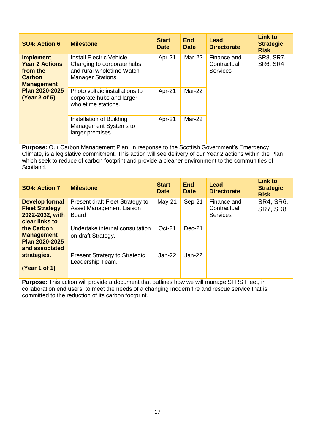| SO4: Action 6                                                                                                                  | <b>Milestone</b>                                                                                                       | <b>Start</b><br><b>Date</b> | <b>End</b><br><b>Date</b> | Lead<br><b>Directorate</b>                    | <b>Link to</b><br><b>Strategic</b><br><b>Risk</b> |
|--------------------------------------------------------------------------------------------------------------------------------|------------------------------------------------------------------------------------------------------------------------|-----------------------------|---------------------------|-----------------------------------------------|---------------------------------------------------|
| <b>Implement</b><br><b>Year 2 Actions</b><br>from the<br>Carbon<br><b>Management</b><br><b>Plan 2020-2025</b><br>(Year 2 of 5) | <b>Install Electric Vehicle</b><br>Charging to corporate hubs<br>and rural wholetime Watch<br><b>Manager Stations.</b> | Apr-21                      | Mar-22                    | Finance and<br>Contractual<br><b>Services</b> | <b>SR8, SR7,</b><br>SR6, SR4                      |
|                                                                                                                                | Photo voltaic installations to<br>corporate hubs and larger<br>wholetime stations.                                     | Apr-21                      | Mar-22                    |                                               |                                                   |
|                                                                                                                                | Installation of Building<br>Management Systems to<br>larger premises.                                                  | Apr-21                      | Mar-22                    |                                               |                                                   |

**Purpose:** Our Carbon Management Plan, in response to the Scottish Government's Emergency Climate, is a legislative commitment. This action will see delivery of our Year 2 actions within the Plan which seek to reduce of carbon footprint and provide a cleaner environment to the communities of Scotland.

| SO4: Action 7                                                                                                                                                     | <b>Milestone</b>                                                                                   | <b>Start</b><br><b>Date</b> | <b>End</b><br><b>Date</b> | Lead<br><b>Directorate</b>                    | <b>Link to</b><br><b>Strategic</b><br><b>Risk</b> |
|-------------------------------------------------------------------------------------------------------------------------------------------------------------------|----------------------------------------------------------------------------------------------------|-----------------------------|---------------------------|-----------------------------------------------|---------------------------------------------------|
| <b>Develop formal</b><br><b>Fleet Strategy</b><br>2022-2032, with<br>clear links to<br>the Carbon<br><b>Management</b><br><b>Plan 2020-2025</b><br>and associated | Present draft Fleet Strategy to<br>Asset Management Liaison<br>Board.                              | $May-21$                    | Sep-21                    | Finance and<br>Contractual<br><b>Services</b> | <b>SR4, SR6,</b><br>SR7, SR8                      |
|                                                                                                                                                                   | Undertake internal consultation<br>on draft Strategy.                                              | $Oct-21$                    | $Dec-21$                  |                                               |                                                   |
| strategies.<br>(Year 1 of 1)                                                                                                                                      | <b>Present Strategy to Strategic</b><br>Leadership Team.                                           | $Jan-22$                    | $Jan-22$                  |                                               |                                                   |
|                                                                                                                                                                   | <b>Durages:</b> This estian will provide a dequment that outlines how we will meness CEDS Flast in |                             |                           |                                               |                                                   |

**Purpose:** This action will provide a document that outlines how we will manage SFRS Fleet, in collaboration end users, to meet the needs of a changing modern fire and rescue service that is committed to the reduction of its carbon footprint.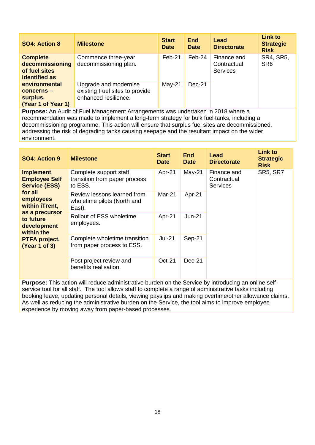| <b>SO4: Action 8</b>                                                        | <b>Milestone</b>                                                                | <b>Start</b><br><b>Date</b> | <b>End</b><br><b>Date</b> | Lead<br><b>Directorate</b>                    | <b>Link to</b><br><b>Strategic</b><br><b>Risk</b> |
|-----------------------------------------------------------------------------|---------------------------------------------------------------------------------|-----------------------------|---------------------------|-----------------------------------------------|---------------------------------------------------|
| <b>Complete</b><br>decommissioning<br>of fuel sites<br><b>identified as</b> | Commence three-year<br>decommissioning plan.                                    | Feb-21                      | $Feb-24$                  | Finance and<br>Contractual<br><b>Services</b> | SR4, SR5,<br>SR <sub>6</sub>                      |
| environmental<br>$concerns -$<br>surplus.<br>(Year 1 of Year 1)             | Upgrade and modernise<br>existing Fuel sites to provide<br>enhanced resilience. | $May-21$                    | Dec-21                    |                                               |                                                   |

**Purpose:** An Audit of Fuel Management Arrangements was undertaken in 2018 where a recommendation was made to implement a long-term strategy for bulk fuel tanks, including a decommissioning programme. This action will ensure that surplus fuel sites are decommissioned, addressing the risk of degrading tanks causing seepage and the resultant impact on the wider environment.

| SO4: Action 9                                                                                                                                                                                                   | <b>Milestone</b>                                                     | <b>Start</b><br><b>Date</b> | <b>End</b><br><b>Date</b> | Lead<br><b>Directorate</b>                    | Link to<br><b>Strategic</b><br><b>Risk</b> |
|-----------------------------------------------------------------------------------------------------------------------------------------------------------------------------------------------------------------|----------------------------------------------------------------------|-----------------------------|---------------------------|-----------------------------------------------|--------------------------------------------|
| <b>Implement</b><br><b>Employee Self</b><br><b>Service (ESS)</b><br>for all<br>employees<br>within iTrent,<br>as a precursor<br>to future<br>development<br>within the<br><b>PTFA project.</b><br>(Year 1 of 3) | Complete support staff<br>transition from paper process<br>to ESS.   | Apr-21                      | $May-21$                  | Finance and<br>Contractual<br><b>Services</b> | <b>SR5, SR7</b>                            |
|                                                                                                                                                                                                                 | Review lessons learned from<br>wholetime pilots (North and<br>East). | Mar-21                      | Apr-21                    |                                               |                                            |
|                                                                                                                                                                                                                 | Rollout of ESS wholetime<br>employees.                               | Apr-21                      | $Jun-21$                  |                                               |                                            |
|                                                                                                                                                                                                                 | Complete wholetime transition<br>from paper process to ESS.          | $Jul-21$                    | Sep-21                    |                                               |                                            |
|                                                                                                                                                                                                                 | Post project review and<br>benefits realisation.                     | <b>Oct-21</b>               | $Dec-21$                  |                                               |                                            |

**Purpose:** This action will reduce administrative burden on the Service by introducing an online selfservice tool for all staff. The tool allows staff to complete a range of administrative tasks including booking leave, updating personal details, viewing payslips and making overtime/other allowance claims. As well as reducing the administrative burden on the Service, the tool aims to improve employee experience by moving away from paper-based processes.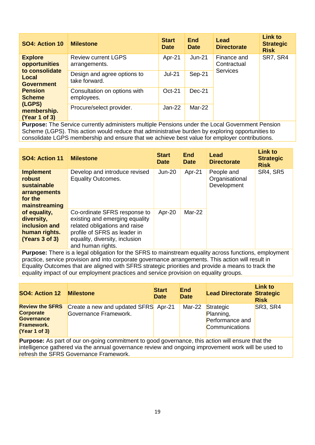| SO4: Action 10                                                                                         | <b>Milestone</b>                             | <b>Start</b><br><b>Date</b> | <b>End</b><br><b>Date</b> | Lead<br><b>Directorate</b>             | <b>Link to</b><br><b>Strategic</b><br><b>Risk</b> |
|--------------------------------------------------------------------------------------------------------|----------------------------------------------|-----------------------------|---------------------------|----------------------------------------|---------------------------------------------------|
| <b>Explore</b><br><b>opportunities</b><br>to consolidate                                               | <b>Review current LGPS</b><br>arrangements.  | Apr-21                      | $Jun-21$                  | Finance and<br>Contractual<br>Services | SR7, SR4                                          |
| Local<br><b>Government</b>                                                                             | Design and agree options to<br>take forward. | $Jul-21$                    | Sep-21                    |                                        |                                                   |
| <b>Pension</b><br><b>Scheme</b>                                                                        | Consultation on options with<br>employees.   | Oct-21                      | $Dec-21$                  |                                        |                                                   |
| (LGPS)<br>membership.<br>(Year 1 of 3)                                                                 | Procure/select provider.                     | Jan-22                      | Mar-22                    |                                        |                                                   |
| <b>Purpose:</b> The Service currently administers multiple Pensions under the Local Government Pension |                                              |                             |                           |                                        |                                                   |

Scheme (LGPS). This action would reduce that administrative burden by exploring opportunities to consolidate LGPS membership and ensure that we achieve best value for employer contributions.

| SO4: Action 11                                                                               | <b>Milestone</b>                                                                                                                                                                       | <b>Start</b><br><b>Date</b> | End<br><b>Date</b> | Lead<br><b>Directorate</b>                  | <b>Link to</b><br><b>Strategic</b><br><b>Risk</b> |
|----------------------------------------------------------------------------------------------|----------------------------------------------------------------------------------------------------------------------------------------------------------------------------------------|-----------------------------|--------------------|---------------------------------------------|---------------------------------------------------|
| <b>Implement</b><br><b>robust</b><br>sustainable<br>arrangements<br>for the<br>mainstreaming | Develop and introduce revised<br><b>Equality Outcomes.</b>                                                                                                                             | $Jun-20$                    | Apr-21             | People and<br>Organisational<br>Development | <b>SR4, SR5</b>                                   |
| of equality,<br>diversity,<br>inclusion and<br>human rights.<br>(Years 3 of 3)               | Co-ordinate SFRS response to<br>existing and emerging equality<br>related obligations and raise<br>profile of SFRS as leader in<br>equality, diversity, inclusion<br>and human rights. | Apr-20                      | Mar-22             |                                             |                                                   |

**Purpose:** There is a legal obligation for the SFRS to mainstream equality across functions, employment practice, service provision and into corporate governance arrangements. This action will result in Equality Outcomes that are aligned with SFRS strategic priorities and provide a means to track the equality impact of our employment practices and service provision on equality groups.

| SO4: Action 12                                                                                        | <b>Milestone</b>                                              | <b>Start</b><br><b>Date</b> | <b>End</b><br><b>Date</b> | <b>Lead Directorate Strategic</b>                                  | <b>Link to</b><br><b>Risk</b> |
|-------------------------------------------------------------------------------------------------------|---------------------------------------------------------------|-----------------------------|---------------------------|--------------------------------------------------------------------|-------------------------------|
| <b>Review the SFRS</b><br><b>Corporate</b><br><b>Governance</b><br><b>Framework.</b><br>(Year 1 of 3) | Create a new and updated SFRS Apr-21<br>Governance Framework. |                             | Mar-22                    | Strategic<br>Planning,<br>Performance and<br><b>Communications</b> | SR3, SR4                      |

**Purpose:** As part of our on-going commitment to good governance, this action will ensure that the intelligence gathered via the annual governance review and ongoing improvement work will be used to refresh the SFRS Governance Framework.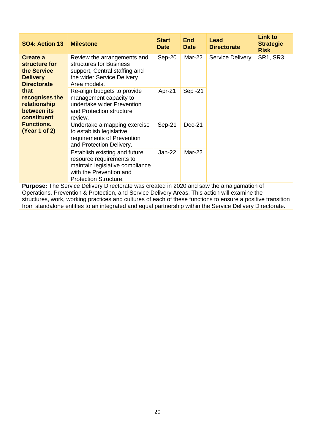| SO4: Action 13                                                                                             | <b>Milestone</b>                                                                                                                                        | <b>Start</b><br><b>Date</b> | <b>End</b><br><b>Date</b> | Lead<br><b>Directorate</b> | <b>Link to</b><br><b>Strategic</b><br><b>Risk</b> |
|------------------------------------------------------------------------------------------------------------|---------------------------------------------------------------------------------------------------------------------------------------------------------|-----------------------------|---------------------------|----------------------------|---------------------------------------------------|
| Create a<br>structure for<br>the Service<br><b>Delivery</b><br><b>Directorate</b>                          | Review the arrangements and<br>structures for Business<br>support, Central staffing and<br>the wider Service Delivery<br>Area models.                   | Sep-20                      | Mar-22                    | <b>Service Delivery</b>    | SR1, SR3                                          |
| that<br>recognises the<br>relationship<br>between its<br>constituent<br><b>Functions.</b><br>(Year 1 of 2) | Re-align budgets to provide<br>management capacity to<br>undertake wider Prevention<br>and Protection structure<br>review.                              | Apr-21                      | Sep -21                   |                            |                                                   |
|                                                                                                            | Undertake a mapping exercise<br>to establish legislative<br>requirements of Prevention<br>and Protection Delivery.                                      | Sep-21                      | $Dec-21$                  |                            |                                                   |
|                                                                                                            | Establish existing and future<br>resource requirements to<br>maintain legislative compliance<br>with the Prevention and<br><b>Protection Structure.</b> | Jan-22                      | Mar-22                    |                            |                                                   |
| <b>Purpose:</b> The Service Delivery Directorate was created in 2020 and saw the amalgamation of           |                                                                                                                                                         |                             |                           |                            |                                                   |

Operations, Prevention & Protection, and Service Delivery Areas. This action will examine the structures, work, working practices and cultures of each of these functions to ensure a positive transition from standalone entities to an integrated and equal partnership within the Service Delivery Directorate.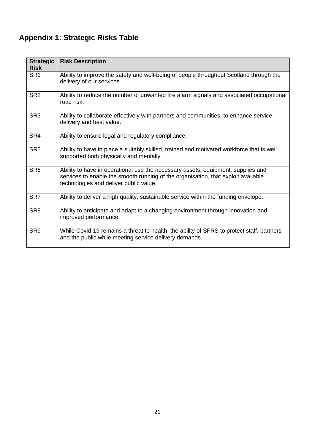# **Appendix 1: Strategic Risks Table**

| <b>Strategic</b><br><b>Risk</b> | <b>Risk Description</b>                                                                                                                                                                                         |
|---------------------------------|-----------------------------------------------------------------------------------------------------------------------------------------------------------------------------------------------------------------|
| SR <sub>1</sub>                 | Ability to improve the safety and well-being of people throughout Scotland through the<br>delivery of our services.                                                                                             |
| SR <sub>2</sub>                 | Ability to reduce the number of unwanted fire alarm signals and associated occupational<br>road risk.                                                                                                           |
| SR <sub>3</sub>                 | Ability to collaborate effectively with partners and communities, to enhance service<br>delivery and best value.                                                                                                |
| SR4                             | Ability to ensure legal and regulatory compliance.                                                                                                                                                              |
| SR <sub>5</sub>                 | Ability to have in place a suitably skilled, trained and motivated workforce that is well<br>supported both physically and mentally.                                                                            |
| SR <sub>6</sub>                 | Ability to have in operational use the necessary assets, equipment, supplies and<br>services to enable the smooth running of the organisation, that exploit available<br>technologies and deliver public value. |
| SR <sub>7</sub>                 | Ability to deliver a high quality, sustainable service within the funding envelope.                                                                                                                             |
| SR <sub>8</sub>                 | Ability to anticipate and adapt to a changing environment through innovation and<br>improved performance.                                                                                                       |
| SR <sub>9</sub>                 | While Covid-19 remains a threat to health, the ability of SFRS to protect staff, partners<br>and the public while meeting service delivery demands.                                                             |